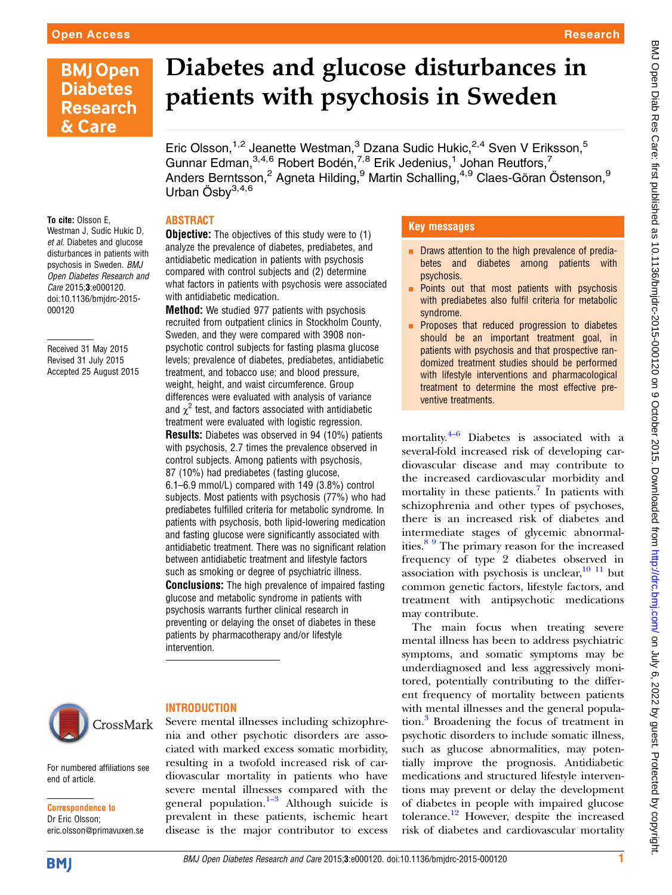### **BMJ Open Diabetes Research** & Care

## Diabetes and glucose disturbances in patients with psychosis in Sweden

Eric Olsson,<sup>1,2</sup> Jeanette Westman,<sup>3</sup> Dzana Sudic Hukic,<sup>2,4</sup> Sven V Eriksson,<sup>5</sup> Gunnar Edman,<sup>3,4,6</sup> Robert Bodén,<sup>7,8</sup> Erik Jedenius,<sup>1</sup> Johan Reutfors,<sup>7</sup> Anders Berntsson,<sup>2</sup> Agneta Hilding,<sup>9</sup> Martin Schalling,<sup>4,9</sup> Claes-Göran Östenson,<sup>9</sup> Urban Ösby3,4,6

#### ABSTRACT

with antidiabetic medication.

**Objective:** The objectives of this study were to (1) analyze the prevalence of diabetes, prediabetes, and antidiabetic medication in patients with psychosis compared with control subjects and (2) determine what factors in patients with psychosis were associated

Method: We studied 977 patients with psychosis recruited from outpatient clinics in Stockholm County, Sweden, and they were compared with 3908 nonpsychotic control subjects for fasting plasma glucose levels; prevalence of diabetes, prediabetes, antidiabetic treatment, and tobacco use; and blood pressure, weight, height, and waist circumference. Group differences were evaluated with analysis of variance and  $\chi^2$  test, and factors associated with antidiabetic treatment were evaluated with logistic regression. Results: Diabetes was observed in 94 (10%) patients with psychosis, 2.7 times the prevalence observed in control subjects. Among patients with psychosis, 87 (10%) had prediabetes (fasting glucose, 6.1–6.9 mmol/L) compared with 149 (3.8%) control subjects. Most patients with psychosis (77%) who had prediabetes fulfilled criteria for metabolic syndrome. In patients with psychosis, both lipid-lowering medication and fasting glucose were significantly associated with antidiabetic treatment. There was no significant relation between antidiabetic treatment and lifestyle factors such as smoking or degree of psychiatric illness. **Conclusions:** The high prevalence of impaired fasting glucose and metabolic syndrome in patients with psychosis warrants further clinical research in preventing or delaying the onset of diabetes in these patients by pharmacotherapy and/or lifestyle

To cite: Olsson E, Westman J, Sudic Hukic D, et al. Diabetes and glucose disturbances in patients with psychosis in Sweden. BMJ Open Diabetes Research and Care 2015;3:e000120. doi:10.1136/bmjdrc-2015- 000120

Received 31 May 2015 Revised 31 July 2015 Accepted 25 August 2015

# CrossMark

For numbered affiliations see end of article.

Correspondence to Dr Eric Olsson; eric.olsson@primavuxen.se

#### **INTRODUCTION**

intervention.

Severe mental illnesses including schizophrenia and other psychotic disorders are associated with marked excess somatic morbidity, resulting in a twofold increased risk of cardiovascular mortality in patients who have severe mental illnesses compared with the general population. $1-3$  $1-3$  Although suicide is prevalent in these patients, ischemic heart disease is the major contributor to excess

#### Key messages

- **EXECUTE:** Draws attention to the high prevalence of prediabetes and diabetes among patients with psychosis.
- Points out that most patients with psychosis with prediabetes also fulfil criteria for metabolic syndrome.
- Proposes that reduced progression to diabetes should be an important treatment goal, in patients with psychosis and that prospective randomized treatment studies should be performed with lifestyle interventions and pharmacological treatment to determine the most effective preventive treatments.

mortality. $4-6$  $4-6$  Diabetes is associated with a several-fold increased risk of developing cardiovascular disease and may contribute to the increased cardiovascular morbidity and mortality in these patients.<sup>[7](#page-7-0)</sup> In patients with schizophrenia and other types of psychoses, there is an increased risk of diabetes and intermediate stages of glycemic abnormalities.[8 9](#page-7-0) The primary reason for the increased frequency of type 2 diabetes observed in association with psychosis is unclear,  $\frac{10^{11}}{11}$  but common genetic factors, lifestyle factors, and treatment with antipsychotic medications may contribute.

The main focus when treating severe mental illness has been to address psychiatric symptoms, and somatic symptoms may be underdiagnosed and less aggressively monitored, potentially contributing to the different frequency of mortality between patients with mental illnesses and the general population.[3](#page-6-0) Broadening the focus of treatment in psychotic disorders to include somatic illness, such as glucose abnormalities, may potentially improve the prognosis. Antidiabetic medications and structured lifestyle interventions may prevent or delay the development of diabetes in people with impaired glucose tolerance.[12](#page-7-0) However, despite the increased risk of diabetes and cardiovascular mortality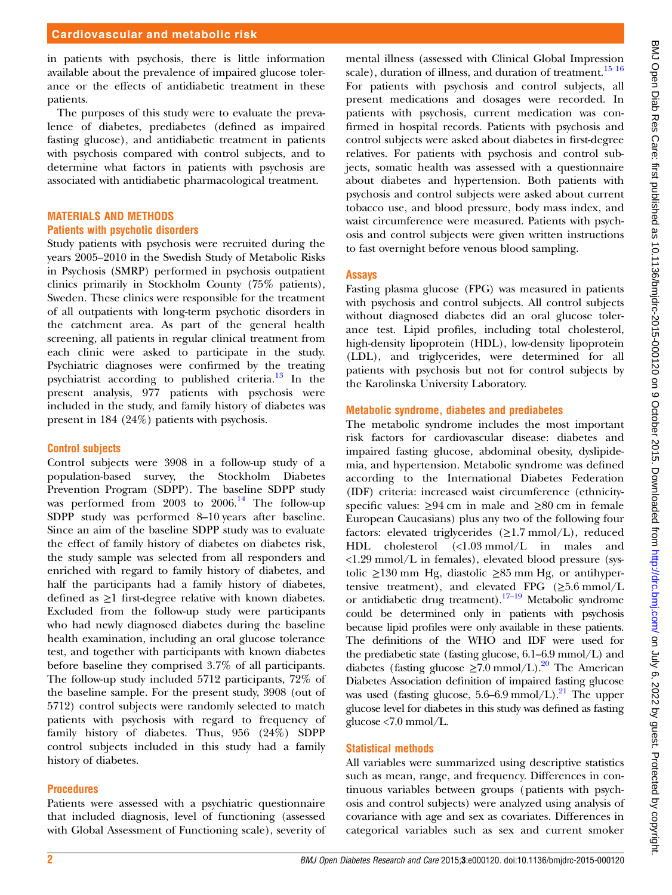in patients with psychosis, there is little information available about the prevalence of impaired glucose tolerance or the effects of antidiabetic treatment in these patients.

The purposes of this study were to evaluate the prevalence of diabetes, prediabetes (defined as impaired fasting glucose), and antidiabetic treatment in patients with psychosis compared with control subjects, and to determine what factors in patients with psychosis are associated with antidiabetic pharmacological treatment.

#### MATERIALS AND METHODS

#### Patients with psychotic disorders

Study patients with psychosis were recruited during the years 2005–2010 in the Swedish Study of Metabolic Risks in Psychosis (SMRP) performed in psychosis outpatient clinics primarily in Stockholm County (75% patients), Sweden. These clinics were responsible for the treatment of all outpatients with long-term psychotic disorders in the catchment area. As part of the general health screening, all patients in regular clinical treatment from each clinic were asked to participate in the study. Psychiatric diagnoses were confirmed by the treating psychiatrist according to published criteria. $13$  In the present analysis, 977 patients with psychosis were included in the study, and family history of diabetes was present in 184 (24%) patients with psychosis.

#### Control subjects

Control subjects were 3908 in a follow-up study of a population-based survey, the Stockholm Diabetes Prevention Program (SDPP). The baseline SDPP study was performed from 2003 to  $2006.<sup>14</sup>$  $2006.<sup>14</sup>$  $2006.<sup>14</sup>$  The follow-up SDPP study was performed 8–10 years after baseline. Since an aim of the baseline SDPP study was to evaluate the effect of family history of diabetes on diabetes risk, the study sample was selected from all responders and enriched with regard to family history of diabetes, and half the participants had a family history of diabetes, defined as ≥1 first-degree relative with known diabetes. Excluded from the follow-up study were participants who had newly diagnosed diabetes during the baseline health examination, including an oral glucose tolerance test, and together with participants with known diabetes before baseline they comprised 3.7% of all participants. The follow-up study included 5712 participants, 72% of the baseline sample. For the present study, 3908 (out of 5712) control subjects were randomly selected to match patients with psychosis with regard to frequency of family history of diabetes. Thus, 956 (24%) SDPP control subjects included in this study had a family history of diabetes.

#### Procedures

Patients were assessed with a psychiatric questionnaire that included diagnosis, level of functioning (assessed with Global Assessment of Functioning scale), severity of

mental illness (assessed with Clinical Global Impression scale), duration of illness, and duration of treatment.<sup>[15 16](#page-7-0)</sup> For patients with psychosis and control subjects, all present medications and dosages were recorded. In patients with psychosis, current medication was confirmed in hospital records. Patients with psychosis and control subjects were asked about diabetes in first-degree relatives. For patients with psychosis and control subjects, somatic health was assessed with a questionnaire about diabetes and hypertension. Both patients with psychosis and control subjects were asked about current tobacco use, and blood pressure, body mass index, and waist circumference were measured. Patients with psychosis and control subjects were given written instructions to fast overnight before venous blood sampling.

#### Assays

Fasting plasma glucose (FPG) was measured in patients with psychosis and control subjects. All control subjects without diagnosed diabetes did an oral glucose tolerance test. Lipid profiles, including total cholesterol, high-density lipoprotein (HDL), low-density lipoprotein (LDL), and triglycerides, were determined for all patients with psychosis but not for control subjects by the Karolinska University Laboratory.

#### Metabolic syndrome, diabetes and prediabetes

The metabolic syndrome includes the most important risk factors for cardiovascular disease: diabetes and impaired fasting glucose, abdominal obesity, dyslipidemia, and hypertension. Metabolic syndrome was defined according to the International Diabetes Federation (IDF) criteria: increased waist circumference (ethnicityspecific values:  $\geq 94$  cm in male and  $\geq 80$  cm in female European Caucasians) plus any two of the following four factors: elevated triglycerides  $(\geq 1.7 \text{ mmol/L})$ , reduced HDL cholesterol (<1.03 mmol/L in males and <1.29 mmol/L in females), elevated blood pressure (systolic ≥130 mm Hg, diastolic ≥85 mm Hg, or antihypertensive treatment), and elevated FPG  $(\geq 5.6 \text{ mmol/L})$ or antidiabetic drug treatment)[.17](#page-7-0)–<sup>19</sup> Metabolic syndrome could be determined only in patients with psychosis because lipid profiles were only available in these patients. The definitions of the WHO and IDF were used for the prediabetic state (fasting glucose, 6.1–6.9 mmol/L) and diabetes (fasting glucose  $\geq 7.0$  mmol/L).<sup>[20](#page-7-0)</sup> The American Diabetes Association definition of impaired fasting glucose was used (fasting glucose,  $5.6-6.9$  mmol/L).<sup>21</sup> The upper glucose level for diabetes in this study was defined as fasting glucose <7.0 mmol/L.

#### Statistical methods

All variables were summarized using descriptive statistics such as mean, range, and frequency. Differences in continuous variables between groups (patients with psychosis and control subjects) were analyzed using analysis of covariance with age and sex as covariates. Differences in categorical variables such as sex and current smoker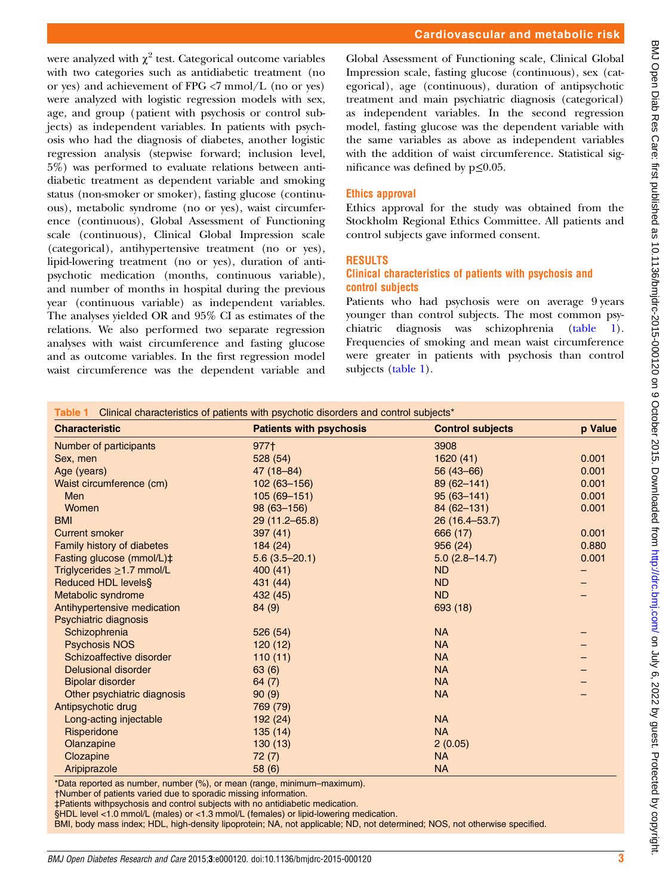<span id="page-2-0"></span>were analyzed with  $\chi^2$  test. Categorical outcome variables with two categories such as antidiabetic treatment (no or yes) and achievement of FPG <7 mmol/L (no or yes) were analyzed with logistic regression models with sex, age, and group (patient with psychosis or control subjects) as independent variables. In patients with psychosis who had the diagnosis of diabetes, another logistic regression analysis (stepwise forward; inclusion level, 5%) was performed to evaluate relations between antidiabetic treatment as dependent variable and smoking status (non-smoker or smoker), fasting glucose (continuous), metabolic syndrome (no or yes), waist circumference (continuous), Global Assessment of Functioning scale (continuous), Clinical Global Impression scale (categorical), antihypertensive treatment (no or yes), lipid-lowering treatment (no or yes), duration of antipsychotic medication (months, continuous variable), and number of months in hospital during the previous year (continuous variable) as independent variables. The analyses yielded OR and 95% CI as estimates of the relations. We also performed two separate regression analyses with waist circumference and fasting glucose and as outcome variables. In the first regression model waist circumference was the dependent variable and

Global Assessment of Functioning scale, Clinical Global Impression scale, fasting glucose (continuous), sex (categorical), age (continuous), duration of antipsychotic treatment and main psychiatric diagnosis (categorical) as independent variables. In the second regression model, fasting glucose was the dependent variable with the same variables as above as independent variables with the addition of waist circumference. Statistical significance was defined by p≤0.05.

#### Ethics approval

Ethics approval for the study was obtained from the Stockholm Regional Ethics Committee. All patients and control subjects gave informed consent.

#### RESULTS

#### Clinical characteristics of patients with psychosis and control subjects

Patients who had psychosis were on average 9 years younger than control subjects. The most common psychiatric diagnosis was schizophrenia (table 1). Frequencies of smoking and mean waist circumference were greater in patients with psychosis than control subjects (table 1).

| <b>Characteristic</b>           | <b>Patients with psychosis</b> | <b>Control subjects</b> | p Value |
|---------------------------------|--------------------------------|-------------------------|---------|
| Number of participants          | 977†                           | 3908                    |         |
| Sex, men                        | 528 (54)                       | 1620(41)                | 0.001   |
| Age (years)                     | 47 (18-84)                     | $56(43 - 66)$           | 0.001   |
| Waist circumference (cm)        | 102 (63-156)                   | 89 (62-141)             | 0.001   |
| Men                             | $105(69 - 151)$                | $95(63 - 141)$          | 0.001   |
| Women                           | 98 (63-156)                    | 84 (62-131)             | 0.001   |
| <b>BMI</b>                      | $29(11.2 - 65.8)$              | 26 (16.4-53.7)          |         |
| <b>Current smoker</b>           | 397(41)                        | 666 (17)                | 0.001   |
| Family history of diabetes      | 184(24)                        | 956 (24)                | 0.880   |
| Fasting glucose (mmol/L)‡       | $5.6(3.5-20.1)$                | $5.0(2.8 - 14.7)$       | 0.001   |
| Triglycerides $\geq$ 1.7 mmol/L | 400(41)                        | <b>ND</b>               |         |
| Reduced HDL levels§             | 431 (44)                       | <b>ND</b>               |         |
| Metabolic syndrome              | 432(45)                        | <b>ND</b>               |         |
| Antihypertensive medication     | 84(9)                          | 693 (18)                |         |
| Psychiatric diagnosis           |                                |                         |         |
| Schizophrenia                   | 526 (54)                       | <b>NA</b>               |         |
| <b>Psychosis NOS</b>            | 120(12)                        | <b>NA</b>               |         |
| Schizoaffective disorder        | 110(11)                        | <b>NA</b>               |         |
| Delusional disorder             | 63(6)                          | <b>NA</b>               |         |
| <b>Bipolar disorder</b>         | 64(7)                          | <b>NA</b>               |         |
| Other psychiatric diagnosis     | 90(9)                          | <b>NA</b>               |         |
| Antipsychotic drug              | 769 (79)                       |                         |         |
| Long-acting injectable          | 192 (24)                       | <b>NA</b>               |         |
| Risperidone                     | 135(14)                        | <b>NA</b>               |         |
| Olanzapine                      | 130(13)                        | 2(0.05)                 |         |
| Clozapine                       | 72(7)                          | <b>NA</b>               |         |
| Aripiprazole                    | 58 (6)                         | <b>NA</b>               |         |

\*Data reported as number, number (%), or mean (range, minimum–maximum).

†Number of patients varied due to sporadic missing information.

‡Patients withpsychosis and control subjects with no antidiabetic medication.

§HDL level <1.0 mmol/L (males) or <1.3 mmol/L (females) or lipid-lowering medication.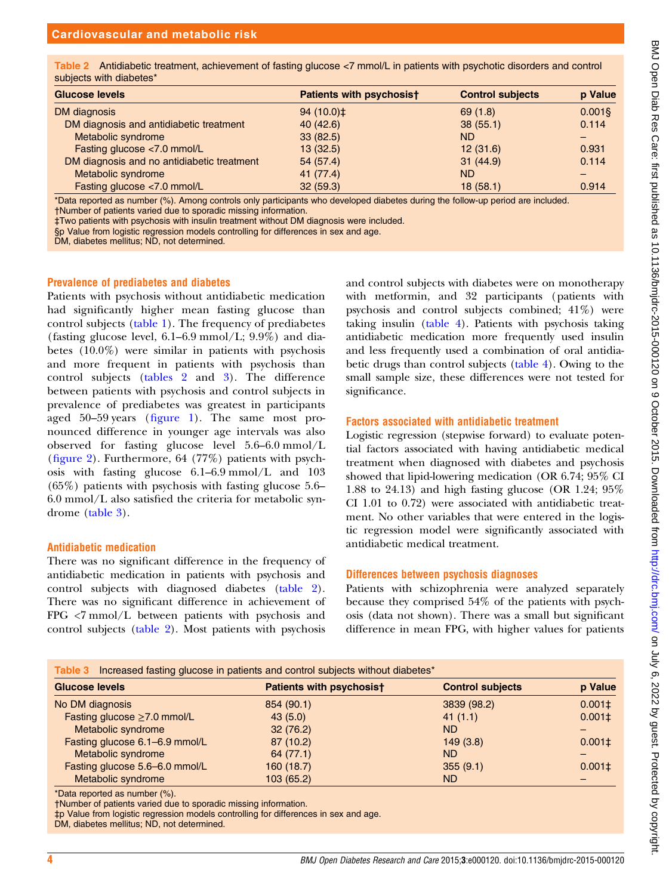| Table 2 Antidiabetic treatment, achievement of fasting glucose <7 mmol/L in patients with psychotic disorders and control |  |  |  |
|---------------------------------------------------------------------------------------------------------------------------|--|--|--|
| subjects with diabetes*                                                                                                   |  |  |  |

| <b>Glucose levels</b>                      | Patients with psychosist | <b>Control subjects</b> | p Value   |
|--------------------------------------------|--------------------------|-------------------------|-----------|
| DM diagnosis                               | 94(10.0)                 | 69(1.8)                 | $0.001$ § |
| DM diagnosis and antidiabetic treatment    | 40(42.6)                 | 38(55.1)                | 0.114     |
| Metabolic syndrome                         | 33(82.5)                 | <b>ND</b>               |           |
| Fasting glucose <7.0 mmol/L                | 13(32.5)                 | 12(31.6)                | 0.931     |
| DM diagnosis and no antidiabetic treatment | 54(57.4)                 | 31(44.9)                | 0.114     |
| Metabolic syndrome                         | 41 (77.4)                | ND.                     |           |
| Fasting glucose <7.0 mmol/L                | 32(59.3)                 | 18(58.1)                | 0.914     |

\*Data reported as number (%). Among controls only participants who developed diabetes during the follow-up period are included. †Number of patients varied due to sporadic missing information.

‡Two patients with psychosis with insulin treatment without DM diagnosis were included.

§p Value from logistic regression models controlling for differences in sex and age.

DM, diabetes mellitus; ND, not determined.

#### Prevalence of prediabetes and diabetes

Patients with psychosis without antidiabetic medication had significantly higher mean fasting glucose than control subjects [\(table 1](#page-2-0)). The frequency of prediabetes (fasting glucose level,  $6.1-6.9$  mmol/L;  $9.9\%$ ) and diabetes (10.0%) were similar in patients with psychosis and more frequent in patients with psychosis than control subjects (tables 2 and 3). The difference between patients with psychosis and control subjects in prevalence of prediabetes was greatest in participants aged 50–59 years (fi[gure 1](#page-4-0)). The same most pronounced difference in younger age intervals was also observed for fasting glucose level 5.6–6.0 mmol/L (fi[gure 2\)](#page-4-0). Furthermore, 64 (77%) patients with psychosis with fasting glucose 6.1–6.9 mmol/L and 103  $(65\%)$  patients with psychosis with fasting glucose 5.6– 6.0 mmol/L also satisfied the criteria for metabolic syndrome (table 3).

#### Antidiabetic medication

There was no significant difference in the frequency of antidiabetic medication in patients with psychosis and control subjects with diagnosed diabetes (table 2). There was no significant difference in achievement of FPG <7 mmol/L between patients with psychosis and control subjects (table 2). Most patients with psychosis

and control subjects with diabetes were on monotherapy with metformin, and 32 participants (patients with psychosis and control subjects combined; 41%) were taking insulin [\(table 4\)](#page-5-0). Patients with psychosis taking antidiabetic medication more frequently used insulin and less frequently used a combination of oral antidiabetic drugs than control subjects [\(table 4\)](#page-5-0). Owing to the small sample size, these differences were not tested for significance.

#### Factors associated with antidiabetic treatment

Logistic regression (stepwise forward) to evaluate potential factors associated with having antidiabetic medical treatment when diagnosed with diabetes and psychosis showed that lipid-lowering medication (OR 6.74; 95% CI 1.88 to 24.13) and high fasting glucose (OR 1.24; 95% CI 1.01 to 0.72) were associated with antidiabetic treatment. No other variables that were entered in the logistic regression model were significantly associated with antidiabetic medical treatment.

#### Differences between psychosis diagnoses

Patients with schizophrenia were analyzed separately because they comprised 54% of the patients with psychosis (data not shown). There was a small but significant difference in mean FPG, with higher values for patients

| Table 3 Increased fasting glucose in patients and control subjects without diabetes* |                                 |                         |             |  |  |
|--------------------------------------------------------------------------------------|---------------------------------|-------------------------|-------------|--|--|
| <b>Glucose levels</b>                                                                | <b>Patients with psychosist</b> | <b>Control subjects</b> | p Value     |  |  |
| No DM diagnosis                                                                      | 854 (90.1)                      | 3839 (98.2)             | $0.001 \pm$ |  |  |
| Fasting glucose $\geq$ 7.0 mmol/L                                                    | 43(5.0)                         | 41(1.1)                 | $0.001 \pm$ |  |  |
| Metabolic syndrome                                                                   | 32(76.2)                        | ND.                     |             |  |  |
| Fasting glucose 6.1-6.9 mmol/L                                                       | 87(10.2)                        | 149(3.8)                | $0.001\pm$  |  |  |
| Metabolic syndrome                                                                   | 64(77.1)                        | <b>ND</b>               |             |  |  |
| Fasting glucose 5.6-6.0 mmol/L                                                       | 160(18.7)                       | 355(9.1)                | $0.001\pm$  |  |  |
| Metabolic syndrome                                                                   | 103 (65.2)                      | ND.                     |             |  |  |

\*Data reported as number (%).

†Number of patients varied due to sporadic missing information.

‡p Value from logistic regression models controlling for differences in sex and age.

DM, diabetes mellitus; ND, not determined.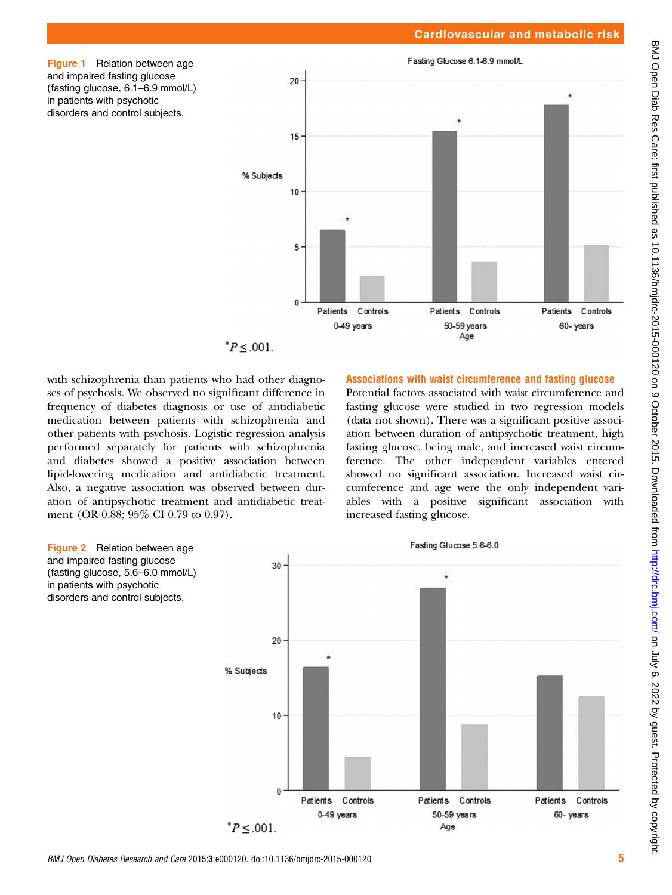<span id="page-4-0"></span>Figure 1 Relation between age and impaired fasting glucose (fasting glucose, 6.1–6.9 mmol/L) in patients with psychotic disorders and control subjects.





with schizophrenia than patients who had other diagnoses of psychosis. We observed no significant difference in frequency of diabetes diagnosis or use of antidiabetic medication between patients with schizophrenia and other patients with psychosis. Logistic regression analysis performed separately for patients with schizophrenia and diabetes showed a positive association between lipid-lowering medication and antidiabetic treatment. Also, a negative association was observed between duration of antipsychotic treatment and antidiabetic treatment (OR 0.88; 95% CI 0.79 to 0.97).

Associations with waist circumference and fasting glucose

Potential factors associated with waist circumference and fasting glucose were studied in two regression models (data not shown). There was a significant positive association between duration of antipsychotic treatment, high fasting glucose, being male, and increased waist circumference. The other independent variables entered showed no significant association. Increased waist circumference and age were the only independent variables with a positive significant association with increased fasting glucose.



BMJ Open Diab Res Care: first published as 10.1136/bmjdrc-2015-000120 on 9 October 2015. Downloaded from http://drc.bmj.com/ on July 6, 2022 by guest. Protected by copyright. BMJ Open Diab Res Care: first published as 10.1136/bmjdrc-2015-000120 on 9 October 2015. Downloaded from <http://drc.bmj.com/> on July 6, 2022 by guest. Protected by copyright.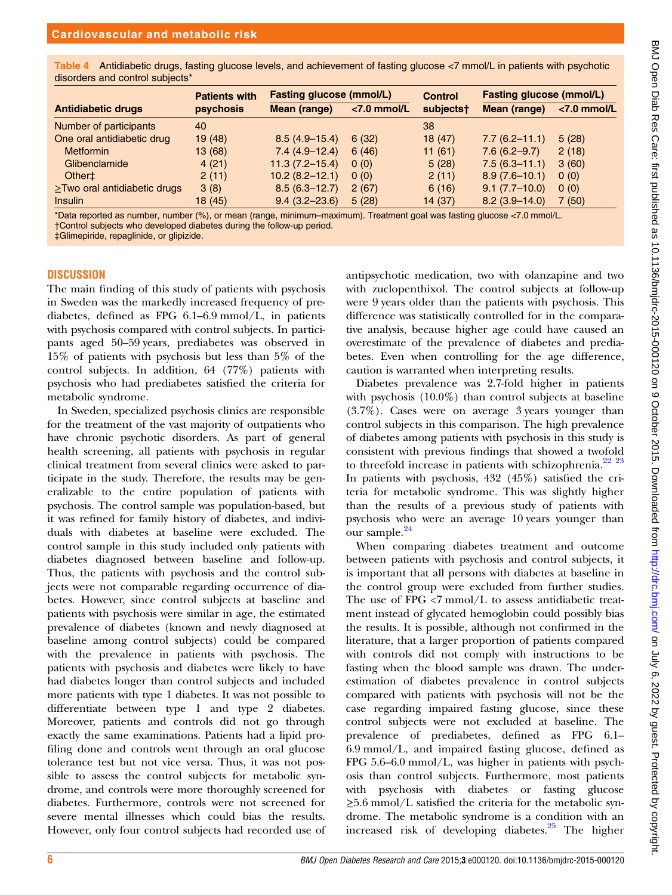<span id="page-5-0"></span>Table 4 Antidiabetic drugs, fasting glucose levels, and achievement of fasting glucose <7 mmol/L in patients with psychotic disorders and control subjects\*

|                                    | <b>Patients with</b> |                     | <b>Fasting glucose (mmol/L)</b> |                       | <b>Fasting glucose (mmol/L)</b> |                |
|------------------------------------|----------------------|---------------------|---------------------------------|-----------------------|---------------------------------|----------------|
| <b>Antidiabetic drugs</b>          | psychosis            | <b>Mean (range)</b> | $<$ 7.0 mmol/L                  | subjects <sup>+</sup> | Mean (range)                    | $<$ 7.0 mmol/L |
| Number of participants             | 40                   |                     |                                 | 38                    |                                 |                |
| One oral antidiabetic drug         | 19(48)               | $8.5(4.9-15.4)$     | 6(32)                           | 18(47)                | $7.7(6.2 - 11.1)$               | 5(28)          |
| <b>Metformin</b>                   | 13 (68)              | $7.4(4.9-12.4)$     | 6(46)                           | 11(61)                | $7.6(6.2 - 9.7)$                | 2(18)          |
| Glibenclamide                      | 4(21)                | $11.3(7.2 - 15.4)$  | 0(0)                            | 5(28)                 | $7.5(6.3 - 11.1)$               | 3(60)          |
| Other <sup>+</sup>                 | 2(11)                | $10.2 (8.2 - 12.1)$ | 0(0)                            | 2(11)                 | $8.9(7.6 - 10.1)$               | 0(0)           |
| $\geq$ Two oral antidiabetic drugs | 3(8)                 | $8.5(6.3-12.7)$     | 2(67)                           | 6(16)                 | $9.1(7.7-10.0)$                 | 0(0)           |
| <b>Insulin</b>                     | 18 (45)              | $9.4(3.2 - 23.6)$   | 5(28)                           | 14(37)                | $8.2(3.9 - 14.0)$               | 7 (50)         |

\*Data reported as number, number (%), or mean (range, minimum–maximum). Treatment goal was fasting glucose <7.0 mmol/L. †Control subjects who developed diabetes during the follow-up period.

‡Glimepiride, repaglinide, or glipizide.

#### **DISCUSSION**

The main finding of this study of patients with psychosis in Sweden was the markedly increased frequency of prediabetes, defined as FPG 6.1–6.9 mmol/L, in patients with psychosis compared with control subjects. In participants aged 50–59 years, prediabetes was observed in 15% of patients with psychosis but less than 5% of the control subjects. In addition, 64 (77%) patients with psychosis who had prediabetes satisfied the criteria for metabolic syndrome.

In Sweden, specialized psychosis clinics are responsible for the treatment of the vast majority of outpatients who have chronic psychotic disorders. As part of general health screening, all patients with psychosis in regular clinical treatment from several clinics were asked to participate in the study. Therefore, the results may be generalizable to the entire population of patients with psychosis. The control sample was population-based, but it was refined for family history of diabetes, and individuals with diabetes at baseline were excluded. The control sample in this study included only patients with diabetes diagnosed between baseline and follow-up. Thus, the patients with psychosis and the control subjects were not comparable regarding occurrence of diabetes. However, since control subjects at baseline and patients with psychosis were similar in age, the estimated prevalence of diabetes (known and newly diagnosed at baseline among control subjects) could be compared with the prevalence in patients with psychosis. The patients with psychosis and diabetes were likely to have had diabetes longer than control subjects and included more patients with type 1 diabetes. It was not possible to differentiate between type 1 and type 2 diabetes. Moreover, patients and controls did not go through exactly the same examinations. Patients had a lipid profiling done and controls went through an oral glucose tolerance test but not vice versa. Thus, it was not possible to assess the control subjects for metabolic syndrome, and controls were more thoroughly screened for diabetes. Furthermore, controls were not screened for severe mental illnesses which could bias the results. However, only four control subjects had recorded use of antipsychotic medication, two with olanzapine and two with zuclopenthixol. The control subjects at follow-up were 9 years older than the patients with psychosis. This difference was statistically controlled for in the comparative analysis, because higher age could have caused an overestimate of the prevalence of diabetes and prediabetes. Even when controlling for the age difference, caution is warranted when interpreting results.

Diabetes prevalence was 2.7-fold higher in patients with psychosis (10.0%) than control subjects at baseline (3.7%). Cases were on average 3 years younger than control subjects in this comparison. The high prevalence of diabetes among patients with psychosis in this study is consistent with previous findings that showed a twofold to threefold increase in patients with schizophrenia. $22^{22}$ In patients with psychosis, 432 (45%) satisfied the criteria for metabolic syndrome. This was slightly higher than the results of a previous study of patients with psychosis who were an average 10 years younger than our sample.<sup>[24](#page-7-0)</sup>

When comparing diabetes treatment and outcome between patients with psychosis and control subjects, it is important that all persons with diabetes at baseline in the control group were excluded from further studies. The use of FPG  $\langle 7 \text{ mmol/L}$  to assess antidiabetic treatment instead of glycated hemoglobin could possibly bias the results. It is possible, although not confirmed in the literature, that a larger proportion of patients compared with controls did not comply with instructions to be fasting when the blood sample was drawn. The underestimation of diabetes prevalence in control subjects compared with patients with psychosis will not be the case regarding impaired fasting glucose, since these control subjects were not excluded at baseline. The prevalence of prediabetes, defined as FPG 6.1– 6.9 mmol/L, and impaired fasting glucose, defined as FPG 5.6–6.0 mmol/L, was higher in patients with psychosis than control subjects. Furthermore, most patients with psychosis with diabetes or fasting glucose ≥5.6 mmol/L satisfied the criteria for the metabolic syndrome. The metabolic syndrome is a condition with an increased risk of developing diabetes.<sup>[25](#page-7-0)</sup> The higher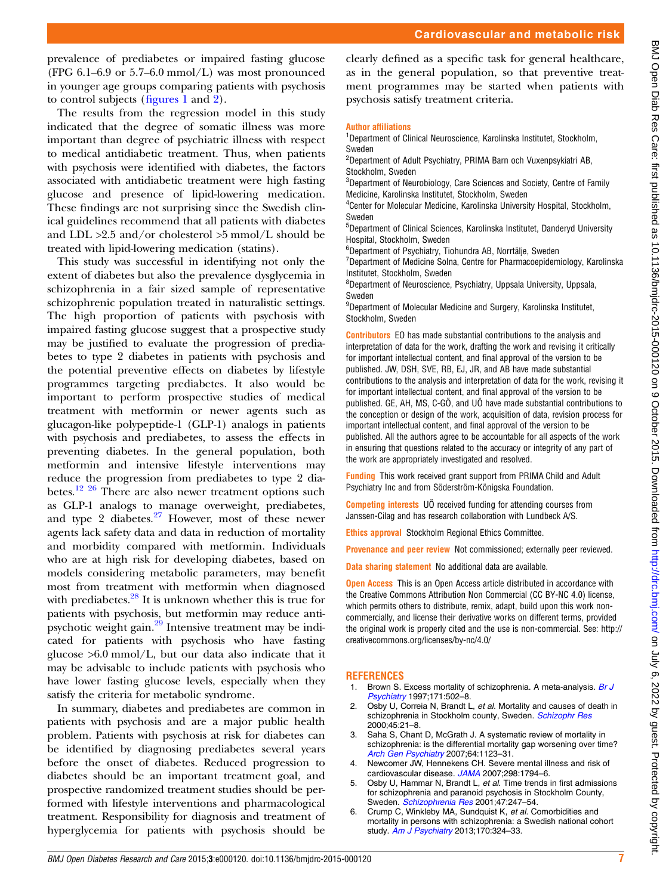<span id="page-6-0"></span>prevalence of prediabetes or impaired fasting glucose (FPG  $6.1-6.9$  or  $5.7-6.0$  mmol/L) was most pronounced in younger age groups comparing patients with psychosis to control subjects (fi[gures 1](#page-4-0) and [2](#page-4-0)).

The results from the regression model in this study indicated that the degree of somatic illness was more important than degree of psychiatric illness with respect to medical antidiabetic treatment. Thus, when patients with psychosis were identified with diabetes, the factors associated with antidiabetic treatment were high fasting glucose and presence of lipid-lowering medication. These findings are not surprising since the Swedish clinical guidelines recommend that all patients with diabetes and LDL >2.5 and/or cholesterol >5 mmol/L should be treated with lipid-lowering medication (statins).

This study was successful in identifying not only the extent of diabetes but also the prevalence dysglycemia in schizophrenia in a fair sized sample of representative schizophrenic population treated in naturalistic settings. The high proportion of patients with psychosis with impaired fasting glucose suggest that a prospective study may be justified to evaluate the progression of prediabetes to type 2 diabetes in patients with psychosis and the potential preventive effects on diabetes by lifestyle programmes targeting prediabetes. It also would be important to perform prospective studies of medical treatment with metformin or newer agents such as glucagon-like polypeptide-1 (GLP-1) analogs in patients with psychosis and prediabetes, to assess the effects in preventing diabetes. In the general population, both metformin and intensive lifestyle interventions may reduce the progression from prediabetes to type 2 dia-betes.<sup>[12 26](#page-7-0)</sup> There are also newer treatment options such as GLP-1 analogs to manage overweight, prediabetes, and type 2 diabetes. $27$  However, most of these newer agents lack safety data and data in reduction of mortality and morbidity compared with metformin. Individuals who are at high risk for developing diabetes, based on models considering metabolic parameters, may benefit most from treatment with metformin when diagnosed with prediabetes. $28$  It is unknown whether this is true for patients with psychosis, but metformin may reduce anti-psychotic weight gain.<sup>[29](#page-7-0)</sup> Intensive treatment may be indicated for patients with psychosis who have fasting glucose >6.0 mmol/L, but our data also indicate that it may be advisable to include patients with psychosis who have lower fasting glucose levels, especially when they satisfy the criteria for metabolic syndrome.

In summary, diabetes and prediabetes are common in patients with psychosis and are a major public health problem. Patients with psychosis at risk for diabetes can be identified by diagnosing prediabetes several years before the onset of diabetes. Reduced progression to diabetes should be an important treatment goal, and prospective randomized treatment studies should be performed with lifestyle interventions and pharmacological treatment. Responsibility for diagnosis and treatment of hyperglycemia for patients with psychosis should be

clearly defined as a specific task for general healthcare, as in the general population, so that preventive treatment programmes may be started when patients with psychosis satisfy treatment criteria.

#### Author affiliations

<sup>1</sup>Department of Clinical Neuroscience, Karolinska Institutet, Stockholm, Sweden

<sup>2</sup>Department of Adult Psychiatry, PRIMA Barn och Vuxenpsykiatri AB, Stockholm, Sweden

<sup>3</sup>Department of Neurobiology, Care Sciences and Society, Centre of Family Medicine, Karolinska Institutet, Stockholm, Sweden

<sup>4</sup> Center for Molecular Medicine, Karolinska University Hospital, Stockholm, Sweden

5 Department of Clinical Sciences, Karolinska Institutet, Danderyd University Hospital, Stockholm, Sweden

6 Department of Psychiatry, Tiohundra AB, Norrtälje, Sweden

<sup>7</sup>Department of Medicine Solna, Centre for Pharmacoepidemiology, Karolinska Institutet, Stockholm, Sweden

8 Department of Neuroscience, Psychiatry, Uppsala University, Uppsala, Sweden

<sup>9</sup>Department of Molecular Medicine and Surgery, Karolinska Institutet, Stockholm, Sweden

Contributors EO has made substantial contributions to the analysis and interpretation of data for the work, drafting the work and revising it critically for important intellectual content, and final approval of the version to be published. JW, DSH, SVE, RB, EJ, JR, and AB have made substantial contributions to the analysis and interpretation of data for the work, revising it for important intellectual content, and final approval of the version to be published. GE, AH, MS, C-GÖ, and UÖ have made substantial contributions to the conception or design of the work, acquisition of data, revision process for important intellectual content, and final approval of the version to be published. All the authors agree to be accountable for all aspects of the work in ensuring that questions related to the accuracy or integrity of any part of the work are appropriately investigated and resolved.

Funding This work received grant support from PRIMA Child and Adult Psychiatry Inc and from Söderström-Königska Foundation.

Competing interests UÖ received funding for attending courses from Janssen-Cilag and has research collaboration with Lundbeck A/S.

Ethics approval Stockholm Regional Ethics Committee.

Provenance and peer review Not commissioned; externally peer reviewed.

Data sharing statement No additional data are available.

**Open Access** This is an Open Access article distributed in accordance with the Creative Commons Attribution Non Commercial (CC BY-NC 4.0) license, which permits others to distribute, remix, adapt, build upon this work noncommercially, and license their derivative works on different terms, provided the original work is properly cited and the use is non-commercial. See: [http://](http://creativecommons.org/licenses/by-nc/4.0/) [creativecommons.org/licenses/by-nc/4.0/](http://creativecommons.org/licenses/by-nc/4.0/)

#### **REFERENCES**

- 1. Brown S. Excess mortality of schizophrenia. A meta-analysis. [Br J](http://dx.doi.org/10.1192/bjp.171.6.502) [Psychiatry](http://dx.doi.org/10.1192/bjp.171.6.502) 1997;171:502–8.
- 2. Osby U, Correia N, Brandt L, et al. Mortality and causes of death in schizophrenia in Stockholm county, Sweden. [Schizophr Res](http://dx.doi.org/10.1016/S0920-9964(99)00191-7) 2000;45:21–8.
- 3. Saha S, Chant D, McGrath J. A systematic review of mortality in schizophrenia: is the differential mortality gap worsening over time? [Arch Gen Psychiatry](http://dx.doi.org/10.1001/archpsyc.64.10.1123) 2007;64:1123–31.
- 4. Newcomer JW, Hennekens CH. Severe mental illness and risk of cardiovascular disease. [JAMA](http://dx.doi.org/10.1001/jama.298.15.1794) 2007;298:1794–6.
- 5. Osby U, Hammar N, Brandt L, et al. Time trends in first admissions for schizophrenia and paranoid psychosis in Stockholm County, Sweden. [Schizophrenia Res](http://dx.doi.org/10.1016/S0920-9964(00)00124-9) 2001;47:247-54.
- 6. Crump C, Winkleby MA, Sundquist K, et al. Comorbidities and mortality in persons with schizophrenia: a Swedish national cohort study. [Am J Psychiatry](http://dx.doi.org/10.1176/appi.ajp.2012.12050599) 2013;170:324-33.

BMJ Open Diab Res Care: first published as 10.1136/bmjdrc-2015-000120 on 9 October 2015. Downloaded from http://drc.bmj.com/ on July 6, 2022 by guest. Protected by copyright BMJ Open Diab Res Care: first published as 10.1136/bmjdrc-2015-000120 on 9 October 2015. Downloaded from <http://drc.bmj.com/> on July 6, 2022 by guest. Protected by copyright.